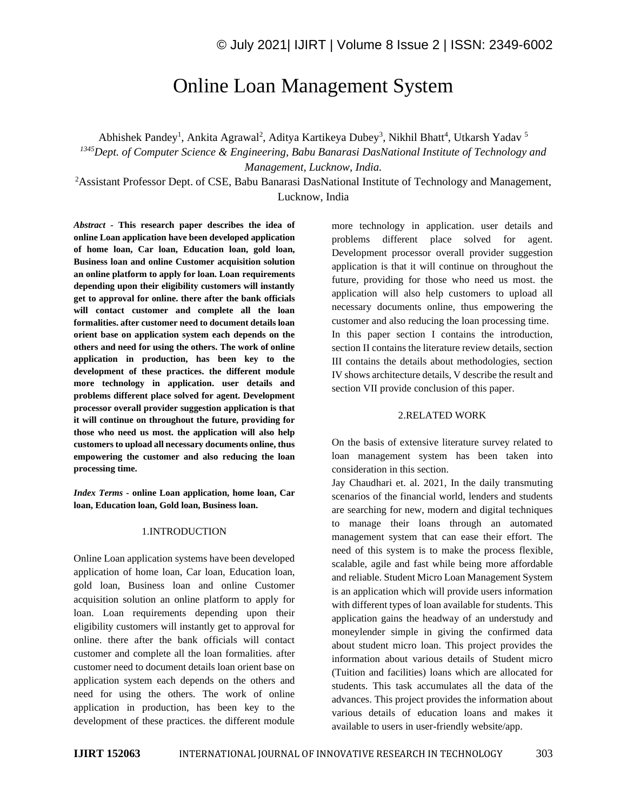# Online Loan Management System

Abhishek Pandey<sup>1</sup>, Ankita Agrawal<sup>2</sup>, Aditya Kartikeya Dubey<sup>3</sup>, Nikhil Bhatt<sup>4</sup>, Utkarsh Yadav<sup>5</sup>

*<sup>1345</sup>Dept. of Computer Science & Engineering, Babu Banarasi DasNational Institute of Technology and Management, Lucknow, India.*

<sup>2</sup>Assistant Professor Dept. of CSE, Babu Banarasi DasNational Institute of Technology and Management, Lucknow, India

*Abstract -* **This research paper describes the idea of online Loan application have been developed application of home loan, Car loan, Education loan, gold loan, Business loan and online Customer acquisition solution an online platform to apply for loan. Loan requirements depending upon their eligibility customers will instantly get to approval for online. there after the bank officials will contact customer and complete all the loan formalities. after customer need to document details loan orient base on application system each depends on the others and need for using the others. The work of online application in production, has been key to the development of these practices. the different module more technology in application. user details and problems different place solved for agent. Development processor overall provider suggestion application is that it will continue on throughout the future, providing for those who need us most. the application will also help customers to upload all necessary documents online, thus empowering the customer and also reducing the loan processing time.**

*Index Terms -* **online Loan application, home loan, Car loan, Education loan, Gold loan, Business loan.**

#### 1.INTRODUCTION

Online Loan application systems have been developed application of home loan, Car loan, Education loan, gold loan, Business loan and online Customer acquisition solution an online platform to apply for loan. Loan requirements depending upon their eligibility customers will instantly get to approval for online. there after the bank officials will contact customer and complete all the loan formalities. after customer need to document details loan orient base on application system each depends on the others and need for using the others. The work of online application in production, has been key to the development of these practices. the different module

more technology in application. user details and problems different place solved for agent. Development processor overall provider suggestion application is that it will continue on throughout the future, providing for those who need us most. the application will also help customers to upload all necessary documents online, thus empowering the customer and also reducing the loan processing time. In this paper section I contains the introduction, section II contains the literature review details, section III contains the details about methodologies, section IV shows architecture details, V describe the result and section VII provide conclusion of this paper.

#### 2.RELATED WORK

On the basis of extensive literature survey related to loan management system has been taken into consideration in this section.

Jay Chaudhari et. al. 2021, In the daily transmuting scenarios of the financial world, lenders and students are searching for new, modern and digital techniques to manage their loans through an automated management system that can ease their effort. The need of this system is to make the process flexible, scalable, agile and fast while being more affordable and reliable. Student Micro Loan Management System is an application which will provide users information with different types of loan available for students. This application gains the headway of an understudy and moneylender simple in giving the confirmed data about student micro loan. This project provides the information about various details of Student micro (Tuition and facilities) loans which are allocated for students. This task accumulates all the data of the advances. This project provides the information about various details of education loans and makes it available to users in user-friendly website/app.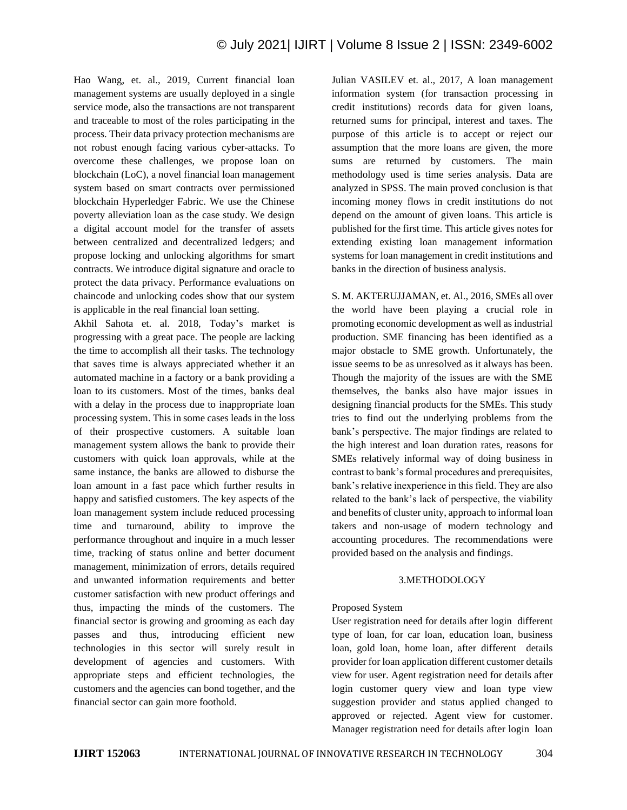Hao Wang, et. al., 2019, Current financial loan management systems are usually deployed in a single service mode, also the transactions are not transparent and traceable to most of the roles participating in the process. Their data privacy protection mechanisms are not robust enough facing various cyber-attacks. To overcome these challenges, we propose loan on blockchain (LoC), a novel financial loan management system based on smart contracts over permissioned blockchain Hyperledger Fabric. We use the Chinese poverty alleviation loan as the case study. We design a digital account model for the transfer of assets between centralized and decentralized ledgers; and propose locking and unlocking algorithms for smart contracts. We introduce digital signature and oracle to protect the data privacy. Performance evaluations on chaincode and unlocking codes show that our system is applicable in the real financial loan setting.

Akhil Sahota et. al. 2018, Today's market is progressing with a great pace. The people are lacking the time to accomplish all their tasks. The technology that saves time is always appreciated whether it an automated machine in a factory or a bank providing a loan to its customers. Most of the times, banks deal with a delay in the process due to inappropriate loan processing system. This in some cases leads in the loss of their prospective customers. A suitable loan management system allows the bank to provide their customers with quick loan approvals, while at the same instance, the banks are allowed to disburse the loan amount in a fast pace which further results in happy and satisfied customers. The key aspects of the loan management system include reduced processing time and turnaround, ability to improve the performance throughout and inquire in a much lesser time, tracking of status online and better document management, minimization of errors, details required and unwanted information requirements and better customer satisfaction with new product offerings and thus, impacting the minds of the customers. The financial sector is growing and grooming as each day passes and thus, introducing efficient new technologies in this sector will surely result in development of agencies and customers. With appropriate steps and efficient technologies, the customers and the agencies can bond together, and the financial sector can gain more foothold.

Julian VASILEV et. al., 2017, A loan management information system (for transaction processing in credit institutions) records data for given loans, returned sums for principal, interest and taxes. The purpose of this article is to accept or reject our assumption that the more loans are given, the more sums are returned by customers. The main methodology used is time series analysis. Data are analyzed in SPSS. The main proved conclusion is that incoming money flows in credit institutions do not depend on the amount of given loans. This article is published for the first time. This article gives notes for extending existing loan management information systems for loan management in credit institutions and banks in the direction of business analysis.

S. M. AKTERUJJAMAN, et. Al., 2016, SMEs all over the world have been playing a crucial role in promoting economic development as well as industrial production. SME financing has been identified as a major obstacle to SME growth. Unfortunately, the issue seems to be as unresolved as it always has been. Though the majority of the issues are with the SME themselves, the banks also have major issues in designing financial products for the SMEs. This study tries to find out the underlying problems from the bank's perspective. The major findings are related to the high interest and loan duration rates, reasons for SMEs relatively informal way of doing business in contrast to bank's formal procedures and prerequisites, bank's relative inexperience in this field. They are also related to the bank's lack of perspective, the viability and benefits of cluster unity, approach to informal loan takers and non-usage of modern technology and accounting procedures. The recommendations were provided based on the analysis and findings.

### 3.METHODOLOGY

#### Proposed System

User registration need for details after login different type of loan, for car loan, education loan, business loan, gold loan, home loan, after different details provider for loan application different customer details view for user. Agent registration need for details after login customer query view and loan type view suggestion provider and status applied changed to approved or rejected. Agent view for customer. Manager registration need for details after login loan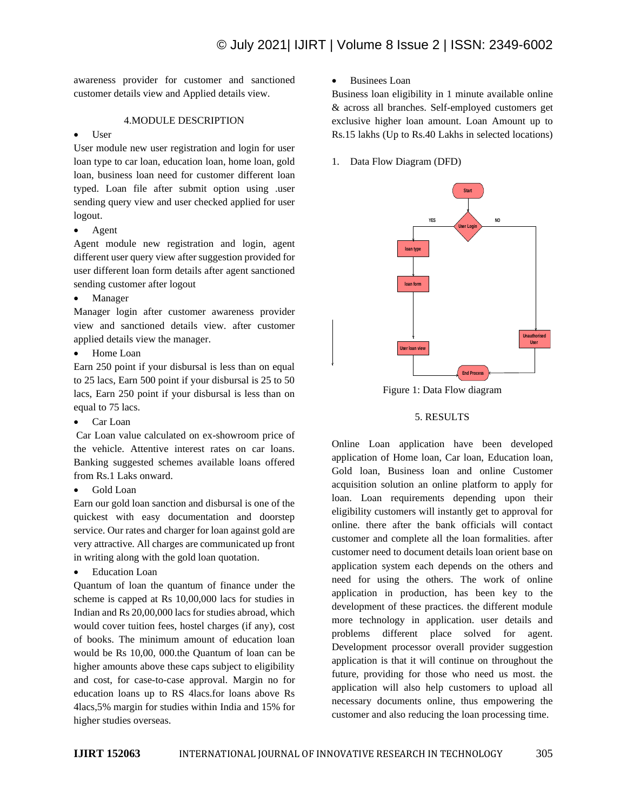awareness provider for customer and sanctioned customer details view and Applied details view.

### 4.MODULE DESCRIPTION

## • User

User module new user registration and login for user loan type to car loan, education loan, home loan, gold loan, business loan need for customer different loan typed. Loan file after submit option using .user sending query view and user checked applied for user logout.

• Agent

Agent module new registration and login, agent different user query view after suggestion provided for user different loan form details after agent sanctioned sending customer after logout

• Manager

Manager login after customer awareness provider view and sanctioned details view. after customer applied details view the manager.

• Home Loan

Earn 250 point if your disbursal is less than on equal to 25 lacs, Earn 500 point if your disbursal is 25 to 50 lacs, Earn 250 point if your disbursal is less than on equal to 75 lacs.

• Car Loan

Car Loan value calculated on ex-showroom price of the vehicle. Attentive interest rates on car loans. Banking suggested schemes available loans offered from Rs.1 Laks onward.

• Gold Loan

Earn our gold loan sanction and disbursal is one of the quickest with easy documentation and doorstep service. Our rates and charger for loan against gold are very attractive. All charges are communicated up front in writing along with the gold loan quotation.

**Education Loan** 

Quantum of loan the quantum of finance under the scheme is capped at Rs 10,00,000 lacs for studies in Indian and Rs 20,00,000 lacs for studies abroad, which would cover tuition fees, hostel charges (if any), cost of books. The minimum amount of education loan would be Rs 10,00, 000.the Quantum of loan can be higher amounts above these caps subject to eligibility and cost, for case-to-case approval. Margin no for education loans up to RS 4lacs.for loans above Rs 4lacs,5% margin for studies within India and 15% for higher studies overseas.

• Businees Loan

Business loan eligibility in 1 minute available online & across all branches. Self-employed customers get exclusive higher loan amount. Loan Amount up to Rs.15 lakhs (Up to Rs.40 Lakhs in selected locations)

1. Data Flow Diagram (DFD)



Figure 1: Data Flow diagram

## 5. RESULTS

Online Loan application have been developed application of Home loan, Car loan, Education loan, Gold loan, Business loan and online Customer acquisition solution an online platform to apply for loan. Loan requirements depending upon their eligibility customers will instantly get to approval for online. there after the bank officials will contact customer and complete all the loan formalities. after customer need to document details loan orient base on application system each depends on the others and need for using the others. The work of online application in production, has been key to the development of these practices. the different module more technology in application. user details and problems different place solved for agent. Development processor overall provider suggestion application is that it will continue on throughout the future, providing for those who need us most. the application will also help customers to upload all necessary documents online, thus empowering the customer and also reducing the loan processing time.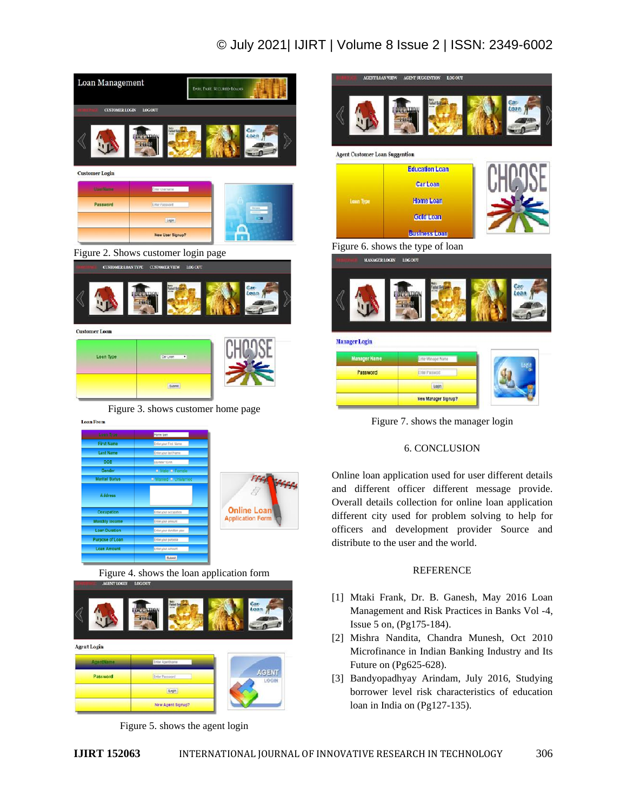## © July 2021| IJIRT | Volume 8 Issue 2 | ISSN: 2349-6002







Figure 3. shows customer home page

**Submit** 

**Loan From** 

| <b>Loan Type</b>       | Home loan<br><b>Contractor</b> |                         |
|------------------------|--------------------------------|-------------------------|
| <b>First Name</b>      | Enter your First Name          |                         |
| <b>Last Name</b>       | Enter your last Name           |                         |
| <b>DOB</b>             | COMMYEAR                       |                         |
| Gender                 | <b>D</b> Male <b>D</b> Female  |                         |
| <b>Marital Status</b>  | <b>D</b> Married O UnMarried   |                         |
| <b>Address</b>         |                                | <b>FFFF</b> SFFFF       |
| Occupation             | Enter your occupation          | <b>Online Loan</b>      |
| <b>Monthly Income</b>  | Enter your amount              | <b>Application Form</b> |
| <b>Loan Duration</b>   | Enter your duration year       |                         |
| <b>Purpose of Loan</b> | Enter your purpose             |                         |
| <b>Loan Amount</b>     | Enter your Amount              |                         |
|                        | <b>Submit</b>                  |                         |

Figure 4. shows the loan application form



Figure 5. shows the agent login



Figure 7. shows the manager login

## 6. CONCLUSION

Online loan application used for user different details and different officer different message provide. Overall details collection for online loan application different city used for problem solving to help for officers and development provider Source and distribute to the user and the world.

#### **REFERENCE**

- [1] Mtaki Frank, Dr. B. Ganesh, May 2016 Loan Management and Risk Practices in Banks Vol -4, Issue 5 on, (Pg175-184).
- [2] Mishra Nandita, Chandra Munesh, Oct 2010 Microfinance in Indian Banking Industry and Its Future on (Pg625-628).
- [3] Bandyopadhyay Arindam, July 2016, Studying borrower level risk characteristics of education loan in India on (Pg127-135).